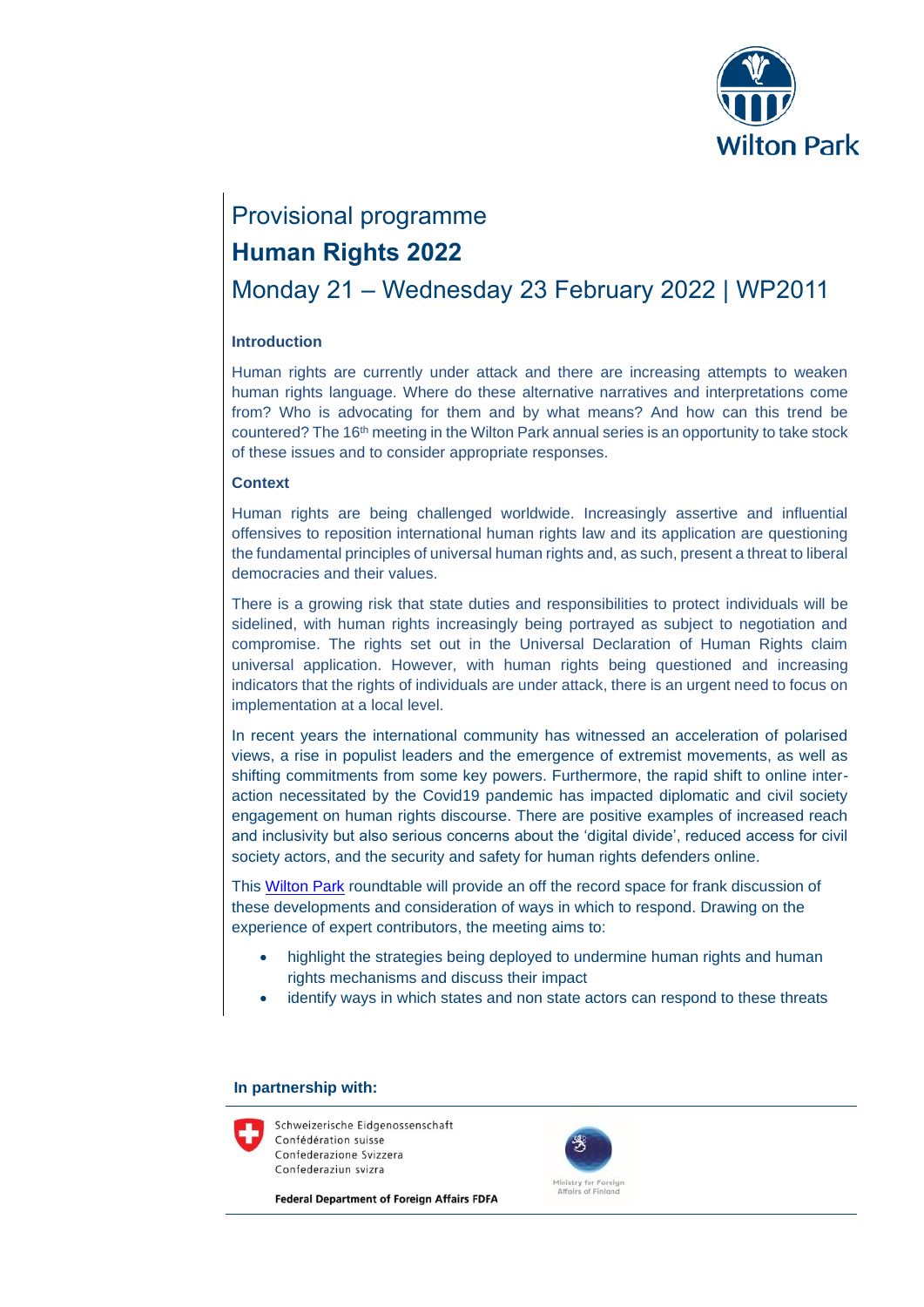

# Provisional programme

## **Human Rights 2022**

# Monday 21 – Wednesday 23 February 2022 | WP2011

### **Introduction**

Human rights are currently under attack and there are increasing attempts to weaken human rights language. Where do these alternative narratives and interpretations come from? Who is advocating for them and by what means? And how can this trend be countered? The 16th meeting in the Wilton Park annual series is an opportunity to take stock of these issues and to consider appropriate responses.

#### **Context**

Human rights are being challenged worldwide. Increasingly assertive and influential offensives to reposition international human rights law and its application are questioning the fundamental principles of universal human rights and, as such, present a threat to liberal democracies and their values.

There is a growing risk that state duties and responsibilities to protect individuals will be sidelined, with human rights increasingly being portrayed as subject to negotiation and compromise. The rights set out in the Universal Declaration of Human Rights claim universal application. However, with human rights being questioned and increasing indicators that the rights of individuals are under attack, there is an urgent need to focus on implementation at a local level.

In recent years the international community has witnessed an acceleration of polarised views, a rise in populist leaders and the emergence of extremist movements, as well as shifting commitments from some key powers. Furthermore, the rapid shift to online interaction necessitated by the Covid19 pandemic has impacted diplomatic and civil society engagement on human rights discourse. There are positive examples of increased reach and inclusivity but also serious concerns about the 'digital divide', reduced access for civil society actors, and the security and safety for human rights defenders online.

This [Wilton Park](https://www.wiltonpark.org.uk/) roundtable will provide an off the record space for frank discussion of these developments and consideration of ways in which to respond. Drawing on the experience of expert contributors, the meeting aims to:

- highlight the strategies being deployed to undermine human rights and human rights mechanisms and discuss their impact
- identify ways in which states and non state actors can respond to these threats

#### **In partnership with:**

Schweizerische Eidgenossenschaft Confédération suisse Confederazione Svizzera Confederaziun svizra

**Federal Department of Foreign Affairs FDFA** 

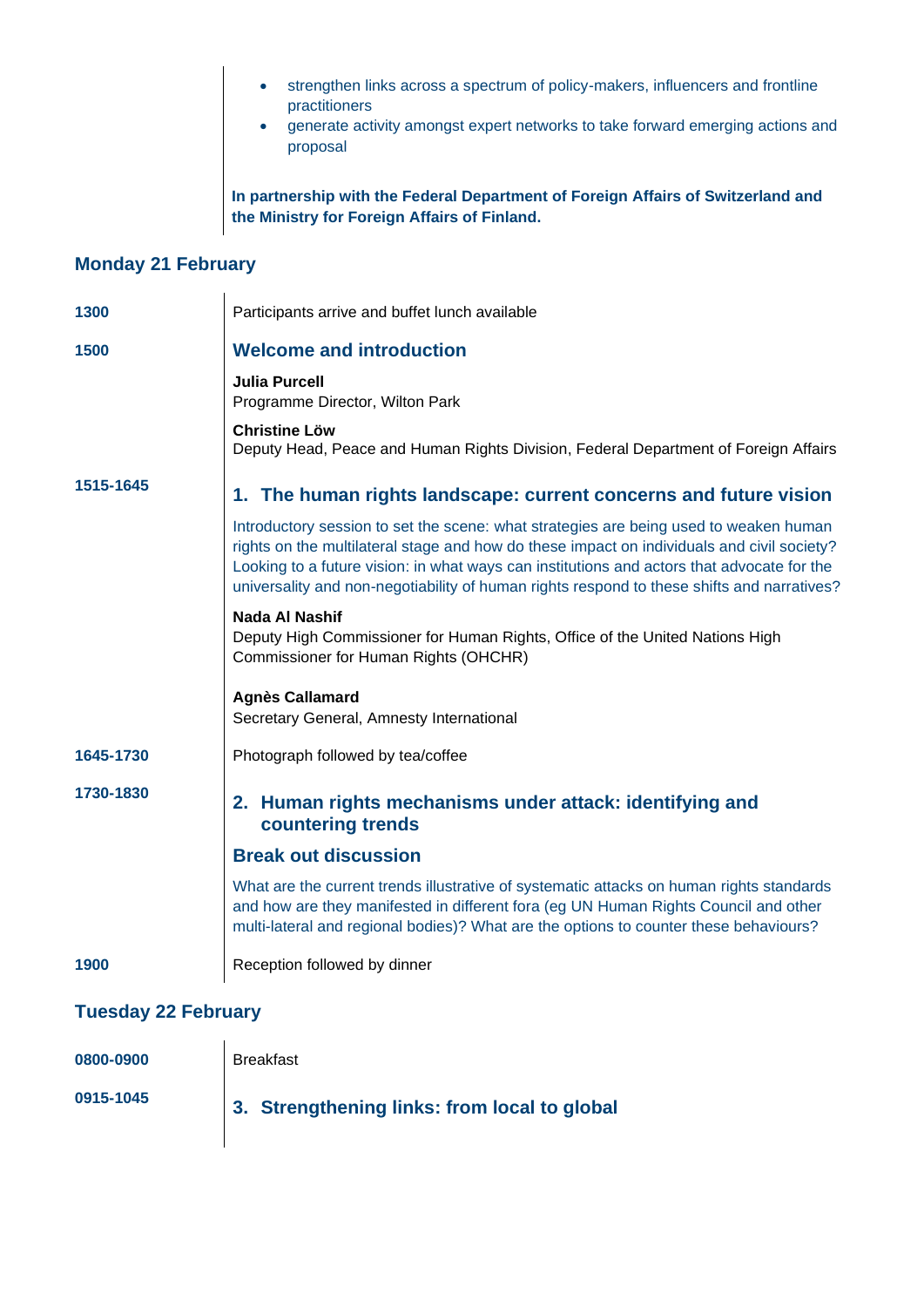- strengthen links across a spectrum of policy-makers, influencers and frontline practitioners
- generate activity amongst expert networks to take forward emerging actions and proposal

**In partnership with the Federal Department of Foreign Affairs of Switzerland and the Ministry for Foreign Affairs of Finland.** 

### **Monday 21 February**

| 1300      | Participants arrive and buffet lunch available                                                                                                                                                                                                                                                                                                                                  |
|-----------|---------------------------------------------------------------------------------------------------------------------------------------------------------------------------------------------------------------------------------------------------------------------------------------------------------------------------------------------------------------------------------|
| 1500      | <b>Welcome and introduction</b>                                                                                                                                                                                                                                                                                                                                                 |
|           | <b>Julia Purcell</b><br>Programme Director, Wilton Park                                                                                                                                                                                                                                                                                                                         |
|           | <b>Christine Löw</b><br>Deputy Head, Peace and Human Rights Division, Federal Department of Foreign Affairs                                                                                                                                                                                                                                                                     |
| 1515-1645 | 1. The human rights landscape: current concerns and future vision                                                                                                                                                                                                                                                                                                               |
|           | Introductory session to set the scene: what strategies are being used to weaken human<br>rights on the multilateral stage and how do these impact on individuals and civil society?<br>Looking to a future vision: in what ways can institutions and actors that advocate for the<br>universality and non-negotiability of human rights respond to these shifts and narratives? |
|           | Nada Al Nashif<br>Deputy High Commissioner for Human Rights, Office of the United Nations High<br>Commissioner for Human Rights (OHCHR)                                                                                                                                                                                                                                         |
|           | <b>Agnès Callamard</b><br>Secretary General, Amnesty International                                                                                                                                                                                                                                                                                                              |
| 1645-1730 | Photograph followed by tea/coffee                                                                                                                                                                                                                                                                                                                                               |
| 1730-1830 | 2. Human rights mechanisms under attack: identifying and<br>countering trends                                                                                                                                                                                                                                                                                                   |
|           | <b>Break out discussion</b>                                                                                                                                                                                                                                                                                                                                                     |
|           | What are the current trends illustrative of systematic attacks on human rights standards<br>and how are they manifested in different fora (eg UN Human Rights Council and other<br>multi-lateral and regional bodies)? What are the options to counter these behaviours?                                                                                                        |
| 1900      | Reception followed by dinner                                                                                                                                                                                                                                                                                                                                                    |
|           |                                                                                                                                                                                                                                                                                                                                                                                 |

### **Tuesday 22 February**

| 0800-0900 | <b>Breakfast</b>                             |
|-----------|----------------------------------------------|
| 0915-1045 | 3. Strengthening links: from local to global |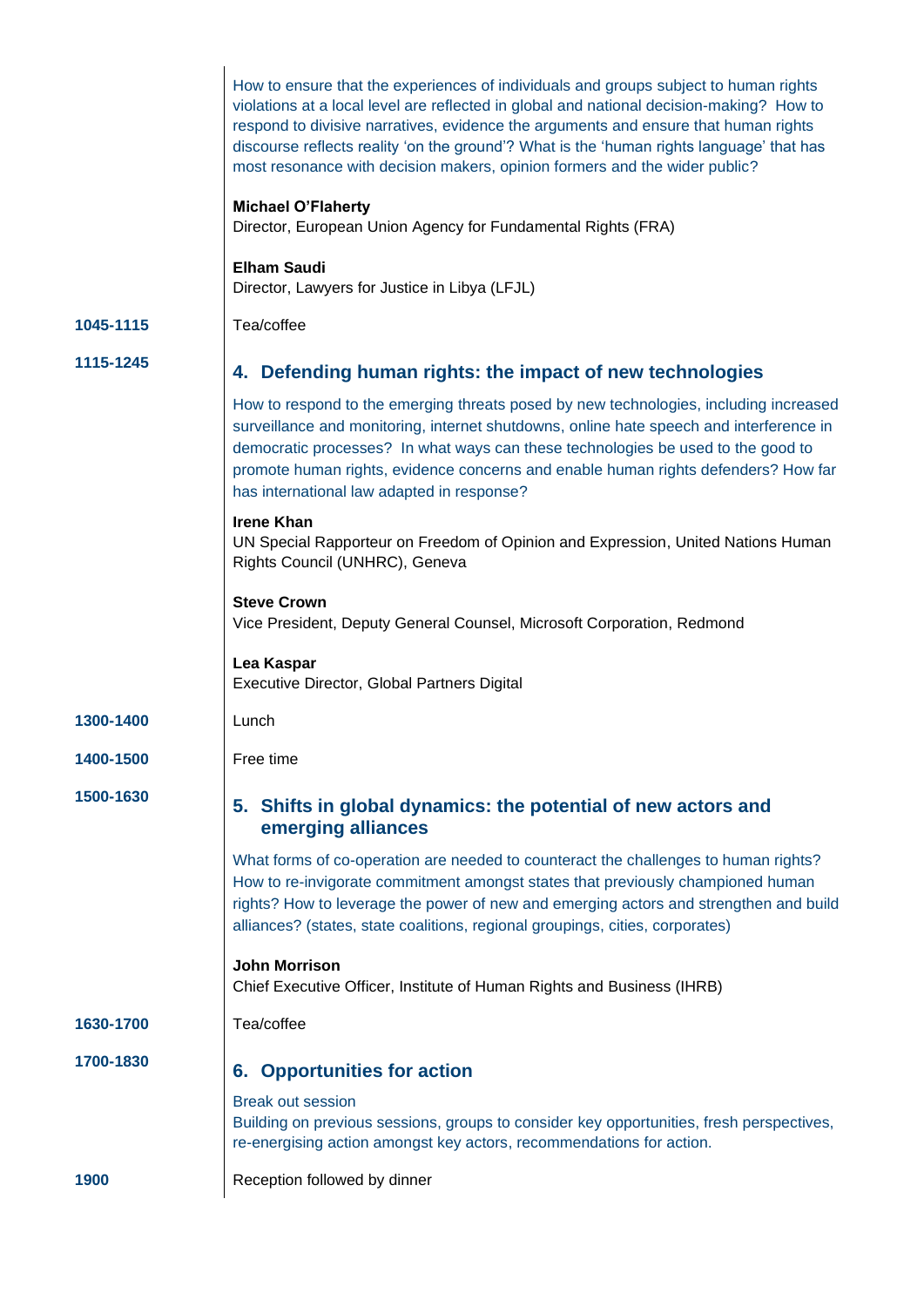|           | How to ensure that the experiences of individuals and groups subject to human rights<br>violations at a local level are reflected in global and national decision-making? How to<br>respond to divisive narratives, evidence the arguments and ensure that human rights<br>discourse reflects reality 'on the ground'? What is the 'human rights language' that has<br>most resonance with decision makers, opinion formers and the wider public? |
|-----------|---------------------------------------------------------------------------------------------------------------------------------------------------------------------------------------------------------------------------------------------------------------------------------------------------------------------------------------------------------------------------------------------------------------------------------------------------|
|           | <b>Michael O'Flaherty</b><br>Director, European Union Agency for Fundamental Rights (FRA)                                                                                                                                                                                                                                                                                                                                                         |
|           | <b>Elham Saudi</b><br>Director, Lawyers for Justice in Libya (LFJL)                                                                                                                                                                                                                                                                                                                                                                               |
| 1045-1115 | Tea/coffee                                                                                                                                                                                                                                                                                                                                                                                                                                        |
| 1115-1245 | 4. Defending human rights: the impact of new technologies                                                                                                                                                                                                                                                                                                                                                                                         |
|           | How to respond to the emerging threats posed by new technologies, including increased<br>surveillance and monitoring, internet shutdowns, online hate speech and interference in<br>democratic processes? In what ways can these technologies be used to the good to<br>promote human rights, evidence concerns and enable human rights defenders? How far<br>has international law adapted in response?                                          |
|           | <b>Irene Khan</b><br>UN Special Rapporteur on Freedom of Opinion and Expression, United Nations Human<br>Rights Council (UNHRC), Geneva                                                                                                                                                                                                                                                                                                           |
|           | <b>Steve Crown</b><br>Vice President, Deputy General Counsel, Microsoft Corporation, Redmond                                                                                                                                                                                                                                                                                                                                                      |
|           | Lea Kaspar<br>Executive Director, Global Partners Digital                                                                                                                                                                                                                                                                                                                                                                                         |
| 1300-1400 | Lunch                                                                                                                                                                                                                                                                                                                                                                                                                                             |
| 1400-1500 | Free time                                                                                                                                                                                                                                                                                                                                                                                                                                         |
| 1500-1630 | 5. Shifts in global dynamics: the potential of new actors and<br>emerging alliances                                                                                                                                                                                                                                                                                                                                                               |
|           | What forms of co-operation are needed to counteract the challenges to human rights?<br>How to re-invigorate commitment amongst states that previously championed human<br>rights? How to leverage the power of new and emerging actors and strengthen and build<br>alliances? (states, state coalitions, regional groupings, cities, corporates)                                                                                                  |
|           | <b>John Morrison</b><br>Chief Executive Officer, Institute of Human Rights and Business (IHRB)                                                                                                                                                                                                                                                                                                                                                    |
| 1630-1700 | Tea/coffee                                                                                                                                                                                                                                                                                                                                                                                                                                        |
| 1700-1830 | <b>6. Opportunities for action</b>                                                                                                                                                                                                                                                                                                                                                                                                                |
|           | <b>Break out session</b><br>Building on previous sessions, groups to consider key opportunities, fresh perspectives,<br>re-energising action amongst key actors, recommendations for action.                                                                                                                                                                                                                                                      |
| 1900      | Reception followed by dinner                                                                                                                                                                                                                                                                                                                                                                                                                      |